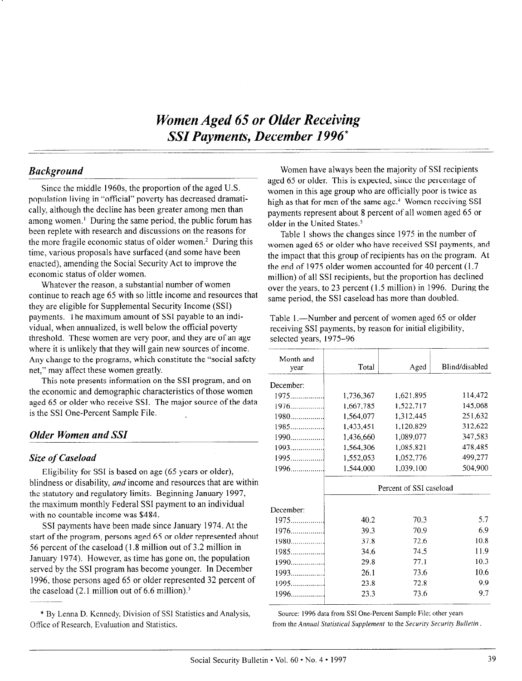# Women Aged 65 or Older Receiving SSI Payments, December 1996"

## Background

Since the middle 196Os, the proportion of the aged U.S. population living in "official" poverty has decreased dramatically, although the decline has been greater among men than among women.' During the same period, the public forum has been replete with research and discussions on the reasons for the more fragile economic status of older women.<sup>2</sup> During this time, various proposals have surfaced (and some have been enacted), amending the Social Security Act to improve the economic status of older women.

Whatever the reason, a substantial number of women continue to reach age 65 with so little income and resources that they are eligible for Supplemental Security Income (SSI) payments. The maximum amount of SSI payable to an individual, when annualized, is well below the official poverty threshold. These women are very poor, and they are of an age where it is unlikely that they will gain new sources of income. Any change to the programs, which constitute the "social safety net," may affect these women greatly.

This note presents information on the SSI program, and on the economic and demographic characteristics of those women aged 65 or older who receive SSI. The major source of the data is the SSI One-Percent Sample File.

# Older Women and SSI

### Size of Caseload

Eligibility for SSI is based on age (65 years or older),  $\frac{1}{2}$  blightness to discuss or disability, and  $\frac{1}{2}$  income and resources that are within bimuness of disability, *and* income and resources that are with the statutory and regulatory limits. Beginning January 1997, the maximum monthly Federal SSI payment to an individual with no countable income was \$484.

SSI payments have been made since January 1974. At the  $\frac{1}{2}$ start of the program, persons agency of the program  $\frac{1}{6}$  or  $\frac{1}{6}$  or  $\frac{1}{6}$  or  $\frac{1}{6}$  or  $\frac{1}{6}$  or  $\frac{1}{6}$  or  $\frac{1}{6}$  or  $\frac{1}{6}$  or  $\frac{1}{6}$  or  $\frac{1}{6}$  or  $\frac{1}{6}$  or  $\frac{1}{6}$  or  $\frac{$  $\frac{566}{100}$  below the case of the case of the case in  $\frac{1}{100}$  million in  $\frac{226}{100}$  million in  $\frac{1}{100}$ 56 percent of the caseload  $(1.8 \text{ million out of } 3.2 \text{ million in})$ January 1974). However, as time has gone on, the population served by the SSI program has become younger. In December 1996, those persons aged 65 or older represented 32 percent of the caseload  $(2.1 \text{ million out of } 6.6 \text{ million})$ .<sup>3</sup>

\* By Lenna D. Kennedy. Division of SSI Statistics and Analysis, \* By Lenna D. Kennedy, Division of SSI Sta

Women have always been the majority of SSI recipients aged 65 or older. This is expected, since the percentage of women in this age group who are officially poor is twice as high as that for men of the same age.<sup>4</sup> Women receiving SSI payments represent about 8 percent of all women aged 65 or older in the United States.5

Table 1 shows the changes since 1975 in the number of women aged 65 or older who have received SSI payments, and the impact that this group of recipients has on the program. At the end of 1975 older women accounted for 40 percent (1.7 million) of all SSI recipients, but the proportion has declined over the years, to 23 percent (1.5 million) in 1996. During the same period, the SSI caseload has more than doubled.

Table 1.—Number and percent of women aged 65 or older receiving SSI payments, by reason for initial eligibility, selected years, 1975-96

| Month and<br>year | Total                   | Aged      | Blind/disabled |  |  |
|-------------------|-------------------------|-----------|----------------|--|--|
| December:         |                         |           |                |  |  |
| $1975$            | 1.736.367               | 1,621,895 | 114,472        |  |  |
|                   | 1,667,785               | 1,522,717 | 145,068        |  |  |
| $1980$            | 1,564,077               | 1,312,445 | 251,632        |  |  |
| $1985$            | 1,433,451               | 1,120,829 | 312,622        |  |  |
| 1990              | 1,436,660               | 1,089,077 | 347,583        |  |  |
| $1993$            | 1.564,306               | 1,085,821 | 478,485        |  |  |
|                   | 1,552,053               | 1,052,776 | 499,277        |  |  |
| 1996              | 1.544,000               | 1.039.100 | 504,900        |  |  |
|                   | Percent of SSI caseload |           |                |  |  |
| December:         |                         |           |                |  |  |
| $1975$            | 40.2                    | 70.3      | 5.7            |  |  |
| 1976              | 39.3                    | 70.9      | 6.9            |  |  |
| $1980$            | 37.8                    | 72.6      | 10.8           |  |  |
| $1985$            | 34.6                    | 74.5      | 11.9           |  |  |
| $1990$            | 29.8                    | 77.1      | 10.3           |  |  |
|                   | 26.1                    | 73.6      | 10.6           |  |  |
|                   | 23.8                    | 72.8      | 9.9            |  |  |
| $1996$            | 23.3                    | 73.6      | 9.7            |  |  |
|                   |                         |           |                |  |  |

source: 1996 data from SSI One-Percent Sample File; other years and the percent Sample File; other years and t<br>- The percent Sample File; other years and the percent Sample File; other years and the percent Sample File; o Source: 1996 data from SSI One-Percent Sample File; other years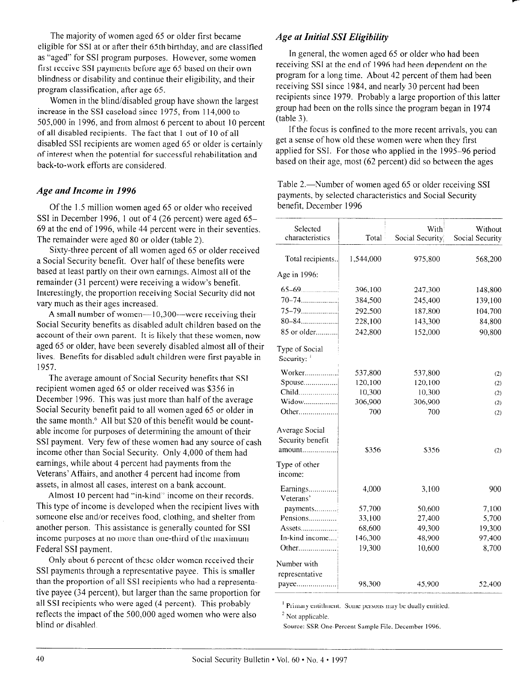The majority of women aged 65 or older first became eligible for SSI at or after their 65th birthday, and are classified as "aged" for SSI program purposes. However, some women first receive SSI payments before age 65 based on their own blindness or disability and continue their eligibility, and their program classification, after age 65.

Women in the blind/disabled group have shown the largest increase in the SSI caseload since 1975, from 114,000 to 505,000 in 1996. and from almost 6 percent to about 10 percent of all disabled recipients. The fact that 1 out of IO of all disabled SSI recipients are women aged 65 or older is certainly of interest when the potential for successful rehabilitation and back-to-work efforts are considered.

## Age and Income in 1996

Of the 1.5 million women aged 65 or older who received SSI in December 1996, 1 out of 4 (26 percent) were aged 65- 69 at the end of 1996, while 44 percent were in their seventies. The remainder were aged 80 or older (table 2).

Sixty-three percent of all women aged 65 or older received a Social Security benefit. Over half of these benefits were based at least partly on their own earnings. Almost all of the remainder (31 percent) were receiving a widow's benefit. Interestingly, the proportion receiving Social Security did not vary much as their ages increased.

A small number of women $-10,300$ -were receiving their Social Security benefits as disabled adult children based on the account of their own parent. It is likely that these women, now aged 65 or older, have been severely disabled almost all of their lives. Benefits for disabled adult children were first payable in 1957.

The average amount of Social Security benefits that SSI recipient women aged 65 or older received was \$356 in December 1996. This was just more than half of the average Social Security benefit paid to all women aged 65 or older in the same month.<sup>6</sup> All but \$20 of this benefit would be countable income for purposes of determining the amount of their SSI payment. Very few of these women had any source of cash income other than Social Security. Only 4,000 of them had earnings, while about 4 percent had payments from the Veterans' Affairs, and another 4 percent had income from assets, in almost all cases, interest on a bank account.

Almost 10 percent had "in-kind" income on their records. This type of income is developed when the recipient lives with someone else and/or receives food, clothing, and shelter from another person. This assistance is generally counted for SSI income purposes at no more than one-third of the maximum Federal SSI payment. Only about 6 percent of these older women received their

Sing about 6 percent of these order women received then SSI payments through a representative payee. This is smaller than the proportion of all SSI recipients who had a representative payee (34 percent), but larger than the same proportion for  $\frac{1}{2}$  recent), our larger than the same proportion are  $50$  reflected who were aged  $(4)$  percent). This probably reflects the impact of the 500,000 aged women who were also blind or disabled.

# Age at Initial SSI Eligibility

In general, the women aged 65 or older who had been receiving SSI at the end of 1996 had been dependent on the program for a long time. About 42 percent of them had been receiving SSI since 1984, and nearly 30 percent had been recipients since 1979. Probably a large proportion of this latter group had been on the rolls since the program began in 1974 (table 3).

If the focus is confined to the more recent arrivals, you can get a sense of how old these women were when they first applied for SSI. For those who applied in the 1995-96 period based on their age, most (62 percent) did so between the ages

Table 2.—Number of women aged 65 or older receiving SSI payments, by selected characteristics and Social Security benefit, December 1996

| Selected<br>characteristics        | Total     | With<br>Social Security | Without<br>Social Security |
|------------------------------------|-----------|-------------------------|----------------------------|
| Total recipients                   | 1,544,000 | 975,800                 | 568,200                    |
| Age in 1996:                       |           |                         |                            |
|                                    | 396,100   | 247,300                 | 148,800                    |
|                                    | 384,500   | 245,400                 | 139,100                    |
|                                    | 292,500   | 187,800                 | 104,700                    |
|                                    | 228,100   | 143,300                 | 84,800                     |
| 85 or older                        | 242,800   | 152,000                 | 90,800                     |
| Type of Social<br>Security: $1$    |           |                         |                            |
| Worker                             | 537,800   | 537,800                 | (2)                        |
| Spouse                             | 120,100   | 120,100                 | (2)                        |
| Child                              | 10,300    | 10,300                  | (2)                        |
| Widow                              | 306,900   | 306,900                 | (2)                        |
| Other                              | 700       | 700                     | (2)                        |
| Average Social<br>Security benefit | \$356     | \$356                   | (2)                        |
| Type of other<br>income:           |           |                         |                            |
| Earnings<br>Veterans'              | 4,000     | 3,100                   | 900                        |
| payments                           | 57,700    | 50,600                  | 7,100                      |
| Pensions                           | 33,100    | 27,400                  | 5,700                      |
| Assets                             | 68,600    | 49,300                  | 19,300                     |
| In-kind income                     | 146,300   | 48,900                  | 97,400                     |
| Other                              | 19,300    | 10,600                  | 8,700                      |
| Number with<br>representative      |           |                         |                            |
| payee                              | 98,300    | 45,900                  | 52,400                     |

' Primary entitlment. Some persons may be dually entitled

<sup>2</sup> Not applicable.

Source: SSR One-Percent Sample File. December 1996.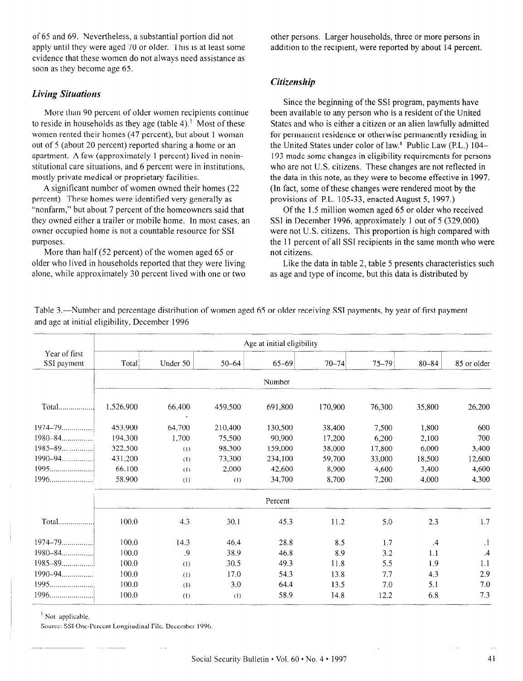of 65 and 69. Nevertheless, a substantial portion did not apply until they were aged 70 or older. This is at least some evidence that these women do not always need assistance as soon as they become age 65.

#### Living Situations

More than 90 percent of older women recipients continue to reside in households as they age (table 4).<sup>7</sup> Most of these women rented their homes (47 percent), but about 1 woman out of 5 (about 20 percent) reported sharing a home or an apartment. A few (approximately I percent) lived in noninstitutional care situations, and 6 percent were in institutions, mostly private medical or proprietary facilities.

A significant number of women owned their homes (22 percent). These homes were identified very generally as "nonfarm," but about 7 percent of the homeowners said that they owned either a trailer or mobile home. In most cases, an owner occupied home is not a countable resource for SSI purposes.

More than half (52 percent) of the women aged 65 or older who lived in households reported that they were living alone, while approximately 30 percent lived with one or two other persons. Larger households, three or more persons in addition to the recipient, were reported by about 14 percent.

## Citizenship

Since the beginning of the SSI program, payments have been available to any person who is a resident of the United States and who is either a citizen or an alien lawfully admitted for permanent residence or otherwise permanently residing in the United States under color of law.8 Public Law (P.L.) 104- 193 made some changes in eligibility requirements for persons who are not U.S. citizens. These changes are not reflected in the data in this note, as they were to become effective in 1997. (In fact, some of these changes were rendered moot by the provisions of P.L. 105-33, enacted August 5, 1997.)

Of the 1.5 million women aged 65 or older who received SSI in December 1996, approximately 1 out of 5 (329,000) were not U.S. citizens. This proportion is high compared with the 11 percent of all SSI recipients in the same month who were not citizens.

Like the data in table 2, table 5 presents characteristics such as age and type of income, but this data is distributed by

|                              | Age at initial eligibility |          |           |           |           |           |           |             |
|------------------------------|----------------------------|----------|-----------|-----------|-----------|-----------|-----------|-------------|
| Year of first<br>SSI payment | Total                      | Under 50 | $50 - 64$ | $65 - 69$ | $70 - 74$ | $75 - 79$ | $80 - 84$ | 85 or older |
|                              |                            |          |           | Number    |           |           |           |             |
|                              | 1,526,900                  | 66,400   | 459,500   | 691,800   | 170,900   | 76,300    | 35,800    | 26,200      |
| $1974 - 79$                  | 453,900                    | 64.700   | 210,400   | 130,500   | 38,400    | 7.500     | 1,800     | 600         |
|                              | 194,300                    | 1,700    | 75,500    | 90.900    | 17,200    | 6,200     | 2,100     | 700         |
| $1985 - 89$                  | 322,500                    | (1)      | 98,300    | 159,000   | 38,000    | 17,800    | 6,000     | 3,400       |
| $1990 - 94$                  | 431.200                    | (1)      | 73.300    | 234,100   | 59,700    | 33,000    | 18,500    | 12,600      |
| 1995                         | 66,100                     | (1)      | 2,000     | 42.600    | 8.900     | 4,600     | 3.400     | 4,600       |
|                              | 58.900                     | (1)      | (1)       | 34,700    | 8,700     | 7,200     | 4,000     | 4,300       |
|                              |                            |          |           | Percent   |           |           |           |             |
| Total                        | 100.0                      | 4.3      | 30.1      | 45.3      | 11.2      | 5.0       | 2.3       | 1.7         |
|                              | 100.0                      | 14.3     | 46.4      | 28.8      | 8.5       | 1.7       | $\cdot$   | $\cdot$ 1   |
|                              | 100.0                      | .9       | 38.9      | 46.8      | 8.9       | 3.2       | 1.1       | .4          |
|                              | 100.0                      | (1)      | 30.5      | 49.3      | 11.8      | 5.5       | 1.9       | 1.1         |
|                              | 100.0                      | (1)      | 17.0      | 54.3      | 13.8      | 7.7       | 4.3       | 2.9         |
| 1995                         | 100.0                      | (1)      | 3.0       | 64.4      | 13.5      | 7.0       | 5.1       | 7.0         |
| $1996$                       | 100.0                      | (1)      | (1)       | 58.9      | 14.8      | 12.2      | 6.8       | 7.3         |

Table 3.—Number and percentage distribution of women aged 65 or older receiving SSI payments, by year of first payment and age at initial eligibility, December 1996

' Not applicable. Source: Source: Source: Source: Source: Source: December 1996.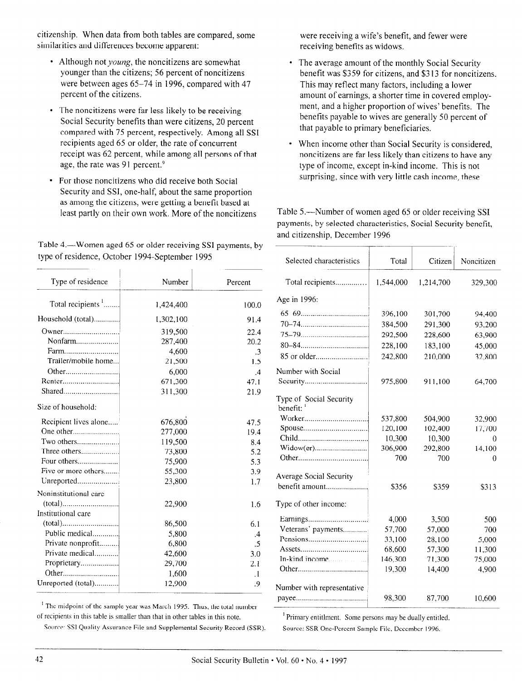citizenship. When data from both tables are compared, some similarities and differences become apparent:

- Although not *young*, the noncitizens are somewhat younger than the citizens; 56 percent of noncitizens were between ages 65-74 in 1996, compared with 47 percent of the citizens.
- The noncitizens were far less likely to be receiving Social Security benefits than were citizens, 20 percent compared with 75 percent, respectively. Among all SSI recipients aged 65 or older, the rate of concurrent receipt was 62 percent, while among all persons of that age, the rate was 91 percent.<sup>9</sup>
- For those noncitizens who did receive both Social Security and SSI, one-half, about the same proportion as among the citizens, were getting a benefit based at least partly on their own work. More of the noncitizens

Table 4.—Women aged 65 or older receiving SSI payments, by type of residence, October 1994-September 1995

were receiving a wife's benefit, and fewer were receiving benefits as widows.

- The average amount of the monthly Social Security benefit was \$359 for citizens, and \$3 13 for noncitizens. This may reflect many factors, including a lower amount of earnings, a shorter time in covered employment, and a higher proportion of wives' benefits. The benefits payable to wives are generally 50 percent of that payable to primary beneficiaries.
- When income other than Social Security is considered, noncitizens are far less likely than citizens to have any type of income, except in-kind income. This is not surprising, since with very little cash income, these

Table 5.-Number of women aged 65 or older receiving SSI payments, by selected characteristics, Social Security benefit, and citizenship, December 1996

| type of residence, October 1994-September 1995 | Table 4.— Women aged 65 or older receiving SSI payments, by |                 | Selected characteristics            | Total     | Citizen   | Noncitizen |
|------------------------------------------------|-------------------------------------------------------------|-----------------|-------------------------------------|-----------|-----------|------------|
| Type of residence                              | Number                                                      | Percent         | Total recipients                    | 1,544,000 | 1,214,700 | 329,300    |
| Total recipients $'$                           | 1,424,400                                                   | 100.0           | Age in 1996:                        |           |           |            |
| Household (total)                              | 1,302,100                                                   | 91.4            |                                     | 396,100   | 301,700   | 94,400     |
|                                                | 319,500                                                     | 22.4            |                                     | 384,500   | 291,300   | 93,200     |
| Nonfarm                                        | 287,400                                                     | 20.2            |                                     | 292,500   | 228,600   | 63,900     |
| Farm                                           | 4,600                                                       | $\cdot$ 3       |                                     | 228,100   | 183,100   | 45,000     |
| Trailer/mobile home                            | 21,500                                                      | 1.5             |                                     | 242,800   | 210,000   | 32,800     |
|                                                | 6,000                                                       | $\mathcal{A}$   | Number with Social                  |           |           |            |
|                                                | 671,300                                                     | 47.1            |                                     | 975,800   | 911,100   | 64,700     |
|                                                | 311,300                                                     | 21.9            |                                     |           |           |            |
| Size of household:                             |                                                             |                 | Type of Social Security<br>benefit: |           |           |            |
| Recipient lives alone                          | 676,800                                                     | 47.5            |                                     | 537,800   | 504,900   | 32,900     |
|                                                | 277,000                                                     | 19.4            |                                     | 120,100   | 102,400   | 17,700     |
| Two others                                     | 119,500                                                     | 8.4             |                                     | 10,300    | 10,300    | 0          |
| Three others                                   | 73,800                                                      | 5.2             |                                     | 306,900   | 292,800   | 14,100     |
| Four others                                    | 75,900                                                      | 5.3             |                                     | 700       | 700       | $\theta$   |
| Five or more others                            | 55,300                                                      | 3.9             |                                     |           |           |            |
| Unreported                                     | 23,800                                                      | 1.7             | <b>Average Social Security</b>      |           |           |            |
| Noninstitutional care                          |                                                             |                 | benefit amount                      | \$356     | \$359     | \$313      |
|                                                | 22,900                                                      | 1.6             | Type of other income:               |           |           |            |
| Institutional care                             |                                                             |                 |                                     |           |           |            |
|                                                | 86,500                                                      | 6.1             |                                     | 4,000     | 3,500     | 500        |
| Public medical                                 | 5,800                                                       | $\mathcal{A}$   | Veterans' payments                  | 57,700    | 57,000    | 700        |
| Private nonprofit                              | 6,800                                                       | $\overline{.5}$ |                                     | 33,100    | 28,100    | 5,000      |
| Private medical                                | 42,600                                                      | 3.0             |                                     | 68,600    | 57,300    | 11,300     |
| Proprietary                                    | 29,700                                                      | 2.1             | In-kind income                      | 146,300   | 71,300    | 75,000     |
|                                                | 1,600                                                       |                 |                                     | 19,300    | 14,400    | 4,900      |
| Unreported (total)                             |                                                             | $\cdot$ 1       |                                     |           |           |            |
|                                                | 12,900                                                      | .9              | Number with representative          |           |           |            |
|                                                |                                                             |                 |                                     | 98,300    | 87,700    | 10,600     |

The independ of the sample year was march 1995. Thus, the total fi of recipients in this table is smaller than that in other tables in this note.<br>Source: SSI Quality Assurance File and Supplemental Security Record (SSR).

Source: Some persons may be duary entirely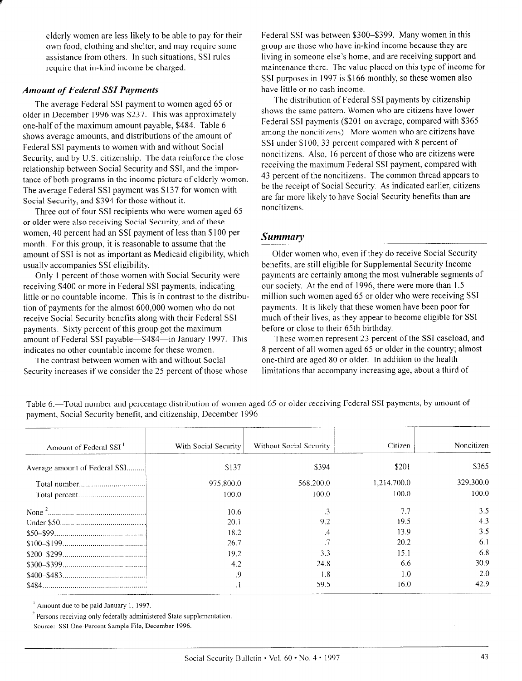elderly women are less likely to be able to pay for their own food, clothing and shelter, and may require some assistance from others. In such situations, SSI rules require that in-kind income be charged.

#### **Amount of Federal SSI Payments**

The average Federal SSI payment to women aged 65 or older in December 1996 was \$237. This was approximately one-half of the maximum amount payable, \$484. Table 6 shows average amounts, and distributions of the amount of Federal SSI payments to women with and without Social Security, and by U.S. citizenship. The data reinforce the close relationship between Social Security and SSI, and the importance of both programs in the income picture of elderly women. The average Federal SSI payment was \$137 for women with Social Security, and \$394 for those without it.

Three out of four SSI recipients who were women aged 65 or older were also receiving Social Security, and of these women, 40 percent had an SSI payment of less than \$100 per month. For this group, it is reasonable to assume that the amount of SSI is not as important as Medicaid eligibility, which usually accompanies SSI eligibility.

Only 1 percent of those women with Social Security were receiving \$400 or more in Federal SSI payments, indicating little or no countable income. This is in contrast to the distribution of payments for the almost 600,000 women who do not receive Social Security benefits along with their Federal SSI payments. Sixty percent of this group got the maximum amount of Federal SSI payable--\$484-in January 1997. This indicates no other countable income for these women.

The contrast between women with and without Social Security increases if we consider the 25 percent of those whose Federal SSI was between \$300-\$399. Many women in this group are those who have in-kind income because they are living in someone else's home, and are receiving support and maintenance there. The value placed on this type of income for SSI purposes in 1997 is \$166 monthly, so these women also have little or no cash income.

The distribution of Federal SSI payments by citizenship shows the same pattern. Women who are citizens have lower Federal SSI payments (\$201 on average, compared with \$365 among the noncitizens). More women who are citizens have SSI under \$100, 33 percent compared with 8 percent of noncitizens. Also, 16 percent of those who are citizens were receiving the maximum Federal SSI payment, compared with 43 percent of the noncitizens. The common thread appears to be the receipt of Social Security. As indicated earlier, citizens are far more likely to have Social Security benefits than are noncitizens.

## **Summary**

Older women who, even if they do receive Social Security benefits, are still eligible for Supplemental Security Income payments are certainly among the most vulnerable segments of our society. At the end of 1996, there were more than 1.5 million such women aged 65 or older who were receiving SSI payments. It is likely that these women have been poor for much of their lives, as they appear to become eligible for SSI before or close to their 65th birthday.

These women represent 23 percent of the SSI caseload, and 8 percent of all women aged 65 or older in the country; almost one-third are aged SO or older. In addition to the health limitations that accompany increasing age, about a third of

| Amount of Federal SSI <sup>1</sup> | With Social Security | Without Social Security | Citizen     | Noncitizen |
|------------------------------------|----------------------|-------------------------|-------------|------------|
| Average amount of Federal SSI      | \$137                | \$394                   | \$201       | \$365      |
|                                    | 975,800.0            | 568,200.0               | 1,214,700.0 | 329,300.0  |
|                                    | 100.0                | 100.0                   | 100.0       | 100.0      |
|                                    | 10.6                 | .3                      | 7.7         | 3.5        |
|                                    | 20.1                 | 9.2                     | 19.5        | 4.3        |
|                                    | 18.2                 | .4                      | 13.9        | 3.5        |
|                                    | 26.7                 |                         | 20.2        | 6.1        |
|                                    | 19.2                 | 3.3                     | 15.1        | 6.8        |
|                                    | 4.2                  | 24.8                    | 6.6         | 30.9       |
|                                    | 9.                   | 1.8                     | 1.0         | 2.0        |
|                                    |                      | 59.5                    | 16.0        | 42.9       |

Table 6.—Total number and percentage distribution of women aged 65 or older receiving Federal SSI payments, by amount of payment, Social Security benefit, and citizenship, December 1996 payment, Social Security benefit, and citizenship, December I996

Temperature to be paid suitantly federally

I CISORS Techning only Teaching administered orate sa <sup>2</sup> Persons receiving only federally administered State supplementation.